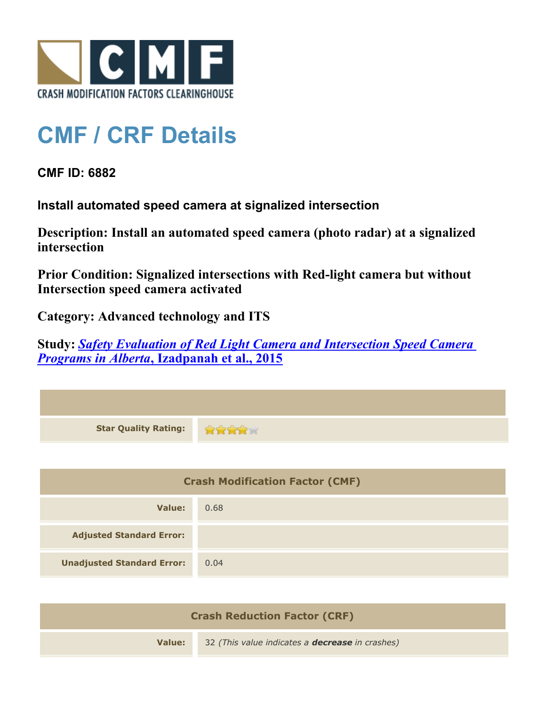

## **CMF / CRF Details**

**CMF ID: 6882**

**Install automated speed camera at signalized intersection**

**Description: Install an automated speed camera (photo radar) at a signalized intersection**

**Prior Condition: Signalized intersections with Red-light camera but without Intersection speed camera activated**

**Category: Advanced technology and ITS**

**Study:** *[Safety Evaluation of Red Light Camera and Intersection Speed Camera](http://www.cmfclearinghouse.org/study_detail.cfm?stid=412) [Programs in Alberta](http://www.cmfclearinghouse.org/study_detail.cfm?stid=412)***[, Izadpanah et al., 2015](http://www.cmfclearinghouse.org/study_detail.cfm?stid=412)**

| <b>Star Quality Rating:</b>            | <b>REFERE</b> |  |
|----------------------------------------|---------------|--|
|                                        |               |  |
| <b>Crash Modification Factor (CMF)</b> |               |  |
| <b>Value:</b>                          | 0.68          |  |
| <b>Adjusted Standard Error:</b>        |               |  |
| <b>Unadjusted Standard Error:</b>      | 0.04          |  |
|                                        |               |  |

| <b>Crash Reduction Factor (CRF)</b> |                                                        |  |
|-------------------------------------|--------------------------------------------------------|--|
| Value:                              | 32 (This value indicates a <b>decrease</b> in crashes) |  |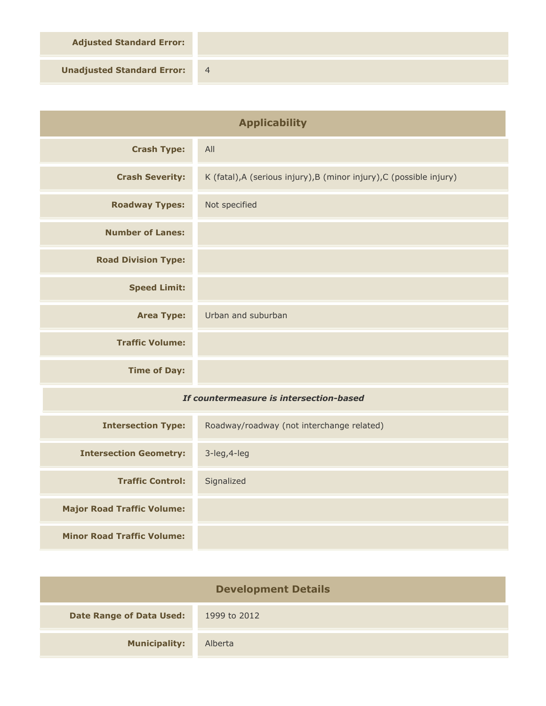**Adjusted Standard Error:**

**Unadjusted Standard Error:** 4

| <b>Applicability</b>                    |                                                                      |
|-----------------------------------------|----------------------------------------------------------------------|
| <b>Crash Type:</b>                      | All                                                                  |
| <b>Crash Severity:</b>                  | K (fatal), A (serious injury), B (minor injury), C (possible injury) |
| <b>Roadway Types:</b>                   | Not specified                                                        |
| <b>Number of Lanes:</b>                 |                                                                      |
| <b>Road Division Type:</b>              |                                                                      |
| <b>Speed Limit:</b>                     |                                                                      |
| <b>Area Type:</b>                       | Urban and suburban                                                   |
| <b>Traffic Volume:</b>                  |                                                                      |
| <b>Time of Day:</b>                     |                                                                      |
| If countermeasure is intersection-based |                                                                      |
| <b>Intersection Type:</b>               | Roadway/roadway (not interchange related)                            |
| <b>Intersection Geometry:</b>           | 3-leg, 4-leg                                                         |
| <b>Traffic Control:</b>                 | Signalized                                                           |
| <b>Major Road Traffic Volume:</b>       |                                                                      |
| <b>Minor Road Traffic Volume:</b>       |                                                                      |

| <b>Development Details</b>      |              |  |
|---------------------------------|--------------|--|
| <b>Date Range of Data Used:</b> | 1999 to 2012 |  |
| <b>Municipality:</b>            | Alberta      |  |